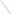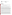

## **UNITED STATES ENVIRONMENTAL PROTECTION AGENCY REGION IX 75 Hawthorne Street San Francisco, CA 94105**

October 15, 2012

Mr. Greg Hill Project Manager Bureau of Land Management El Centro Field Office 1661 South  $4<sup>th</sup>$  Street El Centro, California 92243

## Subject: Imperial Sand Dunes Proposed Recreation Area Management Plan/California Desert Conservation Area Plan Amendment and Final Environmental Impact Statement, Imperial County, California (CEQ#20120299)

Dear Mr. Hill:

The U.S. Environmental Protection Agency has reviewed the above-referenced document pursuant to the National Environmental Policy Act, Council on Environmental Quality regulations (40 CFR Parts 1500-1508), and our NEPA review authority under Section 309 of the Clean Air Act.

The EPA reviewed the Draft Environmental Impact Statement and provided comments to the Bureau of Land Management (BLM) on June 22, 2010. We rated the DEIS as Environmental Concerns – Insufficient Information (EC-2) due to concerns about the number of acres open to off-highway-vehicles (OHV) in the preferred alternative, and the potential impacts to air quality and sensitive resources from OHV use. We recommended that the BLM provide additional information on the preferred alternative's potential air quality impacts, and whether it would conform to the Imperial County Air Pollution Control District's State Implementation Plan for ozone and PM<sub>10</sub>. We also recommended that the BLM provide additional information, in the FEIS, regarding how climate change may affect the Planning Area.

We continue to have concerns about the number of acres open to OHV use in the preferred alternative. At 127,416 acres, the proposed area open to OVH recreation would be almost 40,000 acres greater than under current management. This expansion could result in greater impacts to air quality, vulnerable species (such as the Mojave Desert tortoise and Peirson's Milk-vetch), and sensitive habitats, such as the microphyll woodlands.

The EPA is cognizant of the analyses conducted, after the DEIS was published, to quantify emissions from OHV activity, and we appreciated the opportunity to discuss these new assessments with BLM staff. Nevertheless, we remain concerned, particularly with the emissions caused after OHVs break desert crust or disrupt flora. ICAPCD's 2009  $PM_{10}$  plan estimates that OHV activity just in the Imperial Sand Dunes area alone may cause as much as  $0.9$  tons of  $PM_{10}$  emissions per day (Table III.B.3), compared to the @100 tons/year estimated by Table 4.5 of the FEIS. These emissions of wind-blown dust from soil disrupted by OHVs are significant; measures should be included in the Record of Decision (ROD) to mitigate them to the greatest practicable extent. Similarly, while we acknowledge the measures included in the preferred alternative to protect sensitive resources, we remain concerned that the expanded OHV territory in the preferred alternative could result in increased impacts to sensitive